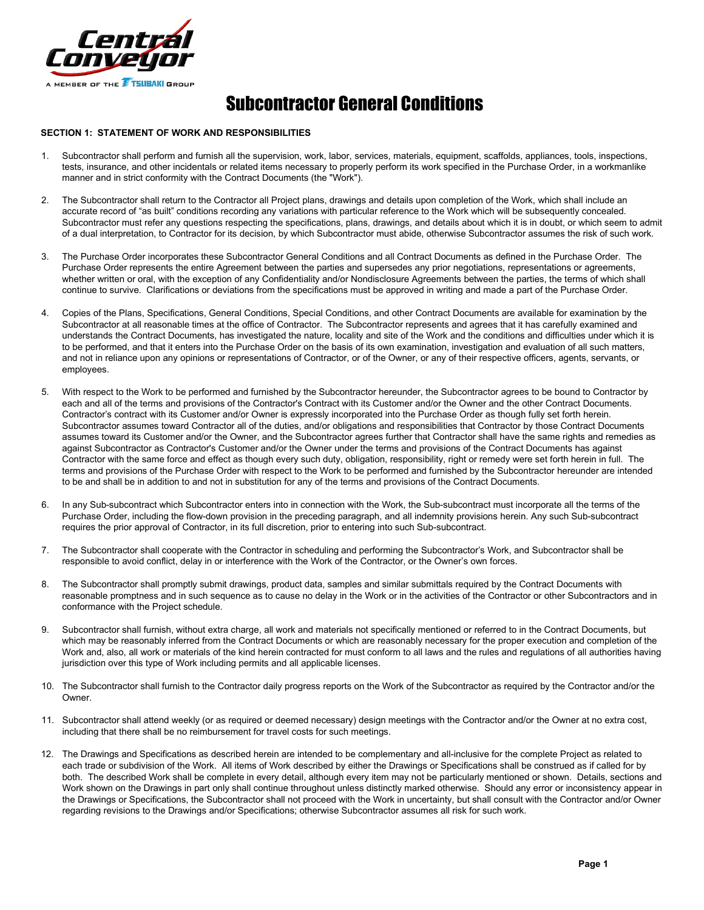

# Subcontractor General Conditions

## **SECTION 1: STATEMENT OF WORK AND RESPONSIBILITIES**

- 1. Subcontractor shall perform and furnish all the supervision, work, labor, services, materials, equipment, scaffolds, appliances, tools, inspections, tests, insurance, and other incidentals or related items necessary to properly perform its work specified in the Purchase Order, in a workmanlike manner and in strict conformity with the Contract Documents (the "Work").
- 2. The Subcontractor shall return to the Contractor all Project plans, drawings and details upon completion of the Work, which shall include an accurate record of "as built" conditions recording any variations with particular reference to the Work which will be subsequently concealed. Subcontractor must refer any questions respecting the specifications, plans, drawings, and details about which it is in doubt, or which seem to admit of a dual interpretation, to Contractor for its decision, by which Subcontractor must abide, otherwise Subcontractor assumes the risk of such work.
- 3. The Purchase Order incorporates these Subcontractor General Conditions and all Contract Documents as defined in the Purchase Order. The Purchase Order represents the entire Agreement between the parties and supersedes any prior negotiations, representations or agreements, whether written or oral, with the exception of any Confidentiality and/or Nondisclosure Agreements between the parties, the terms of which shall continue to survive. Clarifications or deviations from the specifications must be approved in writing and made a part of the Purchase Order.
- 4. Copies of the Plans, Specifications, General Conditions, Special Conditions, and other Contract Documents are available for examination by the Subcontractor at all reasonable times at the office of Contractor. The Subcontractor represents and agrees that it has carefully examined and understands the Contract Documents, has investigated the nature, locality and site of the Work and the conditions and difficulties under which it is to be performed, and that it enters into the Purchase Order on the basis of its own examination, investigation and evaluation of all such matters, and not in reliance upon any opinions or representations of Contractor, or of the Owner, or any of their respective officers, agents, servants, or employees.
- 5. With respect to the Work to be performed and furnished by the Subcontractor hereunder, the Subcontractor agrees to be bound to Contractor by each and all of the terms and provisions of the Contractor's Contract with its Customer and/or the Owner and the other Contract Documents. Contractor's contract with its Customer and/or Owner is expressly incorporated into the Purchase Order as though fully set forth herein. Subcontractor assumes toward Contractor all of the duties, and/or obligations and responsibilities that Contractor by those Contract Documents assumes toward its Customer and/or the Owner, and the Subcontractor agrees further that Contractor shall have the same rights and remedies as against Subcontractor as Contractor's Customer and/or the Owner under the terms and provisions of the Contract Documents has against Contractor with the same force and effect as though every such duty, obligation, responsibility, right or remedy were set forth herein in full. The terms and provisions of the Purchase Order with respect to the Work to be performed and furnished by the Subcontractor hereunder are intended to be and shall be in addition to and not in substitution for any of the terms and provisions of the Contract Documents.
- 6. In any Sub-subcontract which Subcontractor enters into in connection with the Work, the Sub-subcontract must incorporate all the terms of the Purchase Order, including the flow-down provision in the preceding paragraph, and all indemnity provisions herein. Any such Sub-subcontract requires the prior approval of Contractor, in its full discretion, prior to entering into such Sub-subcontract.
- 7. The Subcontractor shall cooperate with the Contractor in scheduling and performing the Subcontractor's Work, and Subcontractor shall be responsible to avoid conflict, delay in or interference with the Work of the Contractor, or the Owner's own forces.
- 8. The Subcontractor shall promptly submit drawings, product data, samples and similar submittals required by the Contract Documents with reasonable promptness and in such sequence as to cause no delay in the Work or in the activities of the Contractor or other Subcontractors and in conformance with the Project schedule.
- 9. Subcontractor shall furnish, without extra charge, all work and materials not specifically mentioned or referred to in the Contract Documents, but which may be reasonably inferred from the Contract Documents or which are reasonably necessary for the proper execution and completion of the Work and, also, all work or materials of the kind herein contracted for must conform to all laws and the rules and regulations of all authorities having jurisdiction over this type of Work including permits and all applicable licenses.
- 10. The Subcontractor shall furnish to the Contractor daily progress reports on the Work of the Subcontractor as required by the Contractor and/or the **Owner**
- 11. Subcontractor shall attend weekly (or as required or deemed necessary) design meetings with the Contractor and/or the Owner at no extra cost, including that there shall be no reimbursement for travel costs for such meetings.
- 12. The Drawings and Specifications as described herein are intended to be complementary and all-inclusive for the complete Project as related to each trade or subdivision of the Work. All items of Work described by either the Drawings or Specifications shall be construed as if called for by both. The described Work shall be complete in every detail, although every item may not be particularly mentioned or shown. Details, sections and Work shown on the Drawings in part only shall continue throughout unless distinctly marked otherwise. Should any error or inconsistency appear in the Drawings or Specifications, the Subcontractor shall not proceed with the Work in uncertainty, but shall consult with the Contractor and/or Owner regarding revisions to the Drawings and/or Specifications; otherwise Subcontractor assumes all risk for such work.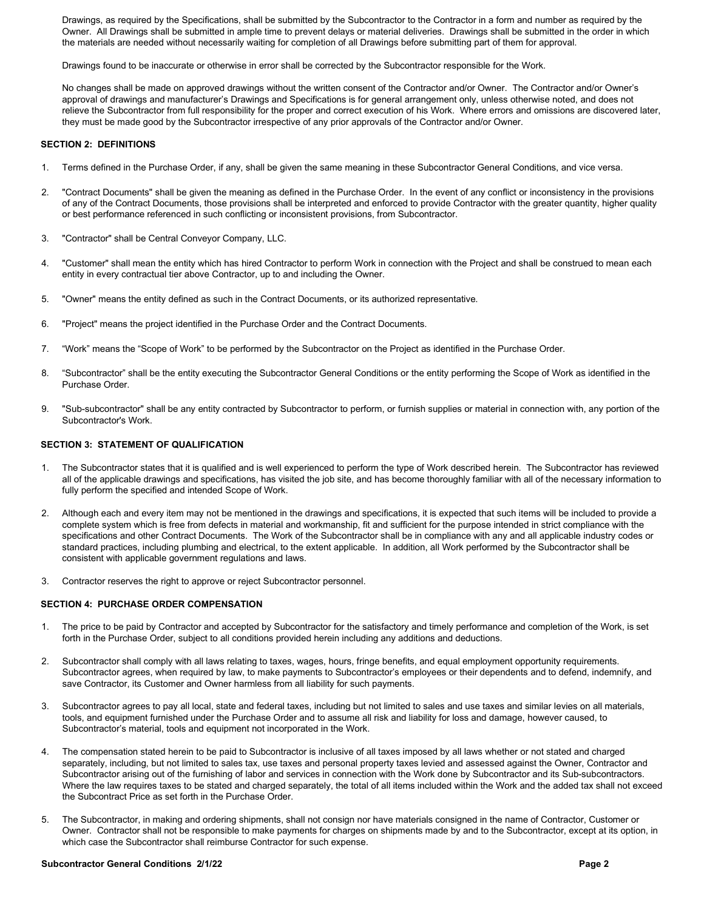Drawings, as required by the Specifications, shall be submitted by the Subcontractor to the Contractor in a form and number as required by the Owner. All Drawings shall be submitted in ample time to prevent delays or material deliveries. Drawings shall be submitted in the order in which the materials are needed without necessarily waiting for completion of all Drawings before submitting part of them for approval.

Drawings found to be inaccurate or otherwise in error shall be corrected by the Subcontractor responsible for the Work.

No changes shall be made on approved drawings without the written consent of the Contractor and/or Owner. The Contractor and/or Owner's approval of drawings and manufacturer's Drawings and Specifications is for general arrangement only, unless otherwise noted, and does not relieve the Subcontractor from full responsibility for the proper and correct execution of his Work. Where errors and omissions are discovered later, they must be made good by the Subcontractor irrespective of any prior approvals of the Contractor and/or Owner.

#### **SECTION 2: DEFINITIONS**

- 1. Terms defined in the Purchase Order, if any, shall be given the same meaning in these Subcontractor General Conditions, and vice versa.
- 2. "Contract Documents" shall be given the meaning as defined in the Purchase Order. In the event of any conflict or inconsistency in the provisions of any of the Contract Documents, those provisions shall be interpreted and enforced to provide Contractor with the greater quantity, higher quality or best performance referenced in such conflicting or inconsistent provisions, from Subcontractor.
- 3. "Contractor" shall be Central Conveyor Company, LLC.
- 4. "Customer" shall mean the entity which has hired Contractor to perform Work in connection with the Project and shall be construed to mean each entity in every contractual tier above Contractor, up to and including the Owner.
- 5. "Owner" means the entity defined as such in the Contract Documents, or its authorized representative.
- 6. "Project" means the project identified in the Purchase Order and the Contract Documents.
- 7. "Work" means the "Scope of Work" to be performed by the Subcontractor on the Project as identified in the Purchase Order.
- 8. "Subcontractor" shall be the entity executing the Subcontractor General Conditions or the entity performing the Scope of Work as identified in the Purchase Order.
- 9. "Sub-subcontractor" shall be any entity contracted by Subcontractor to perform, or furnish supplies or material in connection with, any portion of the Subcontractor's Work.

# **SECTION 3: STATEMENT OF QUALIFICATION**

- 1. The Subcontractor states that it is qualified and is well experienced to perform the type of Work described herein. The Subcontractor has reviewed all of the applicable drawings and specifications, has visited the job site, and has become thoroughly familiar with all of the necessary information to fully perform the specified and intended Scope of Work.
- 2. Although each and every item may not be mentioned in the drawings and specifications, it is expected that such items will be included to provide a complete system which is free from defects in material and workmanship, fit and sufficient for the purpose intended in strict compliance with the specifications and other Contract Documents. The Work of the Subcontractor shall be in compliance with any and all applicable industry codes or standard practices, including plumbing and electrical, to the extent applicable. In addition, all Work performed by the Subcontractor shall be consistent with applicable government regulations and laws.
- 3. Contractor reserves the right to approve or reject Subcontractor personnel.

#### **SECTION 4: PURCHASE ORDER COMPENSATION**

- 1. The price to be paid by Contractor and accepted by Subcontractor for the satisfactory and timely performance and completion of the Work, is set forth in the Purchase Order, subject to all conditions provided herein including any additions and deductions.
- 2. Subcontractor shall comply with all laws relating to taxes, wages, hours, fringe benefits, and equal employment opportunity requirements. Subcontractor agrees, when required by law, to make payments to Subcontractor's employees or their dependents and to defend, indemnify, and save Contractor, its Customer and Owner harmless from all liability for such payments.
- 3. Subcontractor agrees to pay all local, state and federal taxes, including but not limited to sales and use taxes and similar levies on all materials, tools, and equipment furnished under the Purchase Order and to assume all risk and liability for loss and damage, however caused, to Subcontractor's material, tools and equipment not incorporated in the Work.
- 4. The compensation stated herein to be paid to Subcontractor is inclusive of all taxes imposed by all laws whether or not stated and charged separately, including, but not limited to sales tax, use taxes and personal property taxes levied and assessed against the Owner, Contractor and Subcontractor arising out of the furnishing of labor and services in connection with the Work done by Subcontractor and its Sub-subcontractors. Where the law requires taxes to be stated and charged separately, the total of all items included within the Work and the added tax shall not exceed the Subcontract Price as set forth in the Purchase Order.
- 5. The Subcontractor, in making and ordering shipments, shall not consign nor have materials consigned in the name of Contractor, Customer or Owner. Contractor shall not be responsible to make payments for charges on shipments made by and to the Subcontractor, except at its option, in which case the Subcontractor shall reimburse Contractor for such expense.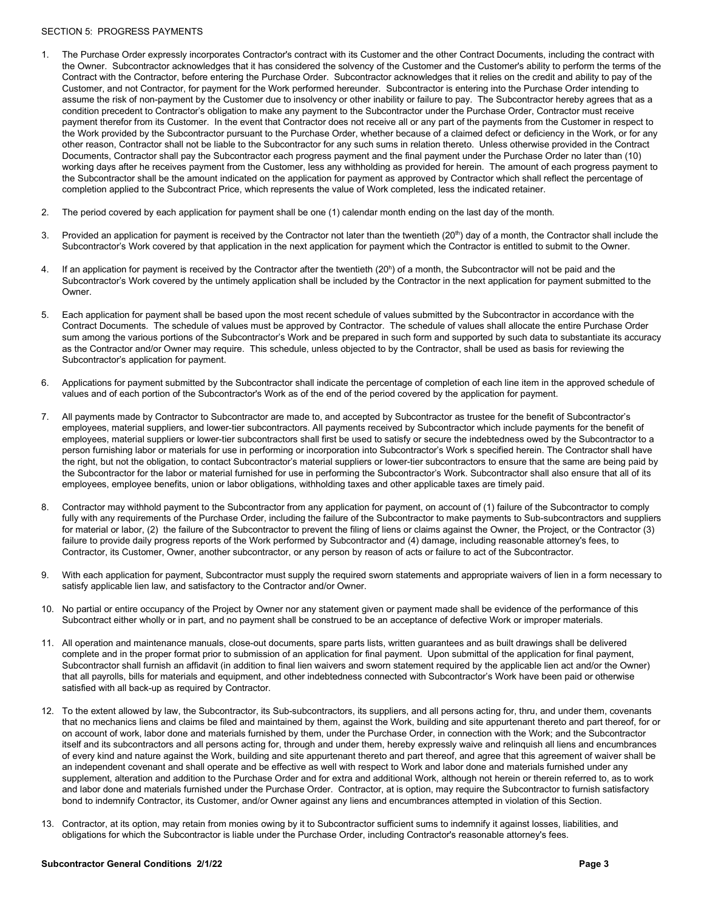#### SECTION 5: PROGRESS PAYMENTS

- 1. The Purchase Order expressly incorporates Contractor's contract with its Customer and the other Contract Documents, including the contract with the Owner. Subcontractor acknowledges that it has considered the solvency of the Customer and the Customer's ability to perform the terms of the Contract with the Contractor, before entering the Purchase Order. Subcontractor acknowledges that it relies on the credit and ability to pay of the Customer, and not Contractor, for payment for the Work performed hereunder. Subcontractor is entering into the Purchase Order intending to assume the risk of non-payment by the Customer due to insolvency or other inability or failure to pay. The Subcontractor hereby agrees that as a condition precedent to Contractor's obligation to make any payment to the Subcontractor under the Purchase Order, Contractor must receive payment therefor from its Customer. In the event that Contractor does not receive all or any part of the payments from the Customer in respect to the Work provided by the Subcontractor pursuant to the Purchase Order, whether because of a claimed defect or deficiency in the Work, or for any other reason, Contractor shall not be liable to the Subcontractor for any such sums in relation thereto. Unless otherwise provided in the Contract Documents, Contractor shall pay the Subcontractor each progress payment and the final payment under the Purchase Order no later than (10) working days after he receives payment from the Customer, less any withholding as provided for herein. The amount of each progress payment to the Subcontractor shall be the amount indicated on the application for payment as approved by Contractor which shall reflect the percentage of completion applied to the Subcontract Price, which represents the value of Work completed, less the indicated retainer.
- 2. The period covered by each application for payment shall be one (1) calendar month ending on the last day of the month.
- 3. Provided an application for payment is received by the Contractor not later than the twentieth  $(20<sup>th</sup>)$  day of a month, the Contractor shall include the Subcontractor's Work covered by that application in the next application for payment which the Contractor is entitled to submit to the Owner.
- 4. If an application for payment is received by the Contractor after the twentieth (20h ) of a month, the Subcontractor will not be paid and the Subcontractor's Work covered by the untimely application shall be included by the Contractor in the next application for payment submitted to the Owner.
- 5. Each application for payment shall be based upon the most recent schedule of values submitted by the Subcontractor in accordance with the Contract Documents. The schedule of values must be approved by Contractor. The schedule of values shall allocate the entire Purchase Order sum among the various portions of the Subcontractor's Work and be prepared in such form and supported by such data to substantiate its accuracy as the Contractor and/or Owner may require. This schedule, unless objected to by the Contractor, shall be used as basis for reviewing the Subcontractor's application for payment.
- 6. Applications for payment submitted by the Subcontractor shall indicate the percentage of completion of each line item in the approved schedule of values and of each portion of the Subcontractor's Work as of the end of the period covered by the application for payment.
- 7. All payments made by Contractor to Subcontractor are made to, and accepted by Subcontractor as trustee for the benefit of Subcontractor's employees, material suppliers, and lower-tier subcontractors. All payments received by Subcontractor which include payments for the benefit of employees, material suppliers or lower-tier subcontractors shall first be used to satisfy or secure the indebtedness owed by the Subcontractor to a person furnishing labor or materials for use in performing or incorporation into Subcontractor's Work s specified herein. The Contractor shall have the right, but not the obligation, to contact Subcontractor's material suppliers or lower-tier subcontractors to ensure that the same are being paid by the Subcontractor for the labor or material furnished for use in performing the Subcontractor's Work. Subcontractor shall also ensure that all of its employees, employee benefits, union or labor obligations, withholding taxes and other applicable taxes are timely paid.
- 8. Contractor may withhold payment to the Subcontractor from any application for payment, on account of (1) failure of the Subcontractor to comply fully with any requirements of the Purchase Order, including the failure of the Subcontractor to make payments to Sub-subcontractors and suppliers for material or labor, (2) the failure of the Subcontractor to prevent the filing of liens or claims against the Owner, the Project, or the Contractor (3) failure to provide daily progress reports of the Work performed by Subcontractor and (4) damage, including reasonable attorney's fees, to Contractor, its Customer, Owner, another subcontractor, or any person by reason of acts or failure to act of the Subcontractor.
- 9. With each application for payment, Subcontractor must supply the required sworn statements and appropriate waivers of lien in a form necessary to satisfy applicable lien law, and satisfactory to the Contractor and/or Owner.
- 10. No partial or entire occupancy of the Project by Owner nor any statement given or payment made shall be evidence of the performance of this Subcontract either wholly or in part, and no payment shall be construed to be an acceptance of defective Work or improper materials.
- 11. All operation and maintenance manuals, close-out documents, spare parts lists, written guarantees and as built drawings shall be delivered complete and in the proper format prior to submission of an application for final payment. Upon submittal of the application for final payment, Subcontractor shall furnish an affidavit (in addition to final lien waivers and sworn statement required by the applicable lien act and/or the Owner) that all payrolls, bills for materials and equipment, and other indebtedness connected with Subcontractor's Work have been paid or otherwise satisfied with all back-up as required by Contractor.
- 12. To the extent allowed by law, the Subcontractor, its Sub-subcontractors, its suppliers, and all persons acting for, thru, and under them, covenants that no mechanics liens and claims be filed and maintained by them, against the Work, building and site appurtenant thereto and part thereof, for or on account of work, labor done and materials furnished by them, under the Purchase Order, in connection with the Work; and the Subcontractor itself and its subcontractors and all persons acting for, through and under them, hereby expressly waive and relinquish all liens and encumbrances of every kind and nature against the Work, building and site appurtenant thereto and part thereof, and agree that this agreement of waiver shall be an independent covenant and shall operate and be effective as well with respect to Work and labor done and materials furnished under any supplement, alteration and addition to the Purchase Order and for extra and additional Work, although not herein or therein referred to, as to work and labor done and materials furnished under the Purchase Order. Contractor, at is option, may require the Subcontractor to furnish satisfactory bond to indemnify Contractor, its Customer, and/or Owner against any liens and encumbrances attempted in violation of this Section.
- 13. Contractor, at its option, may retain from monies owing by it to Subcontractor sufficient sums to indemnify it against losses, liabilities, and obligations for which the Subcontractor is liable under the Purchase Order, including Contractor's reasonable attorney's fees.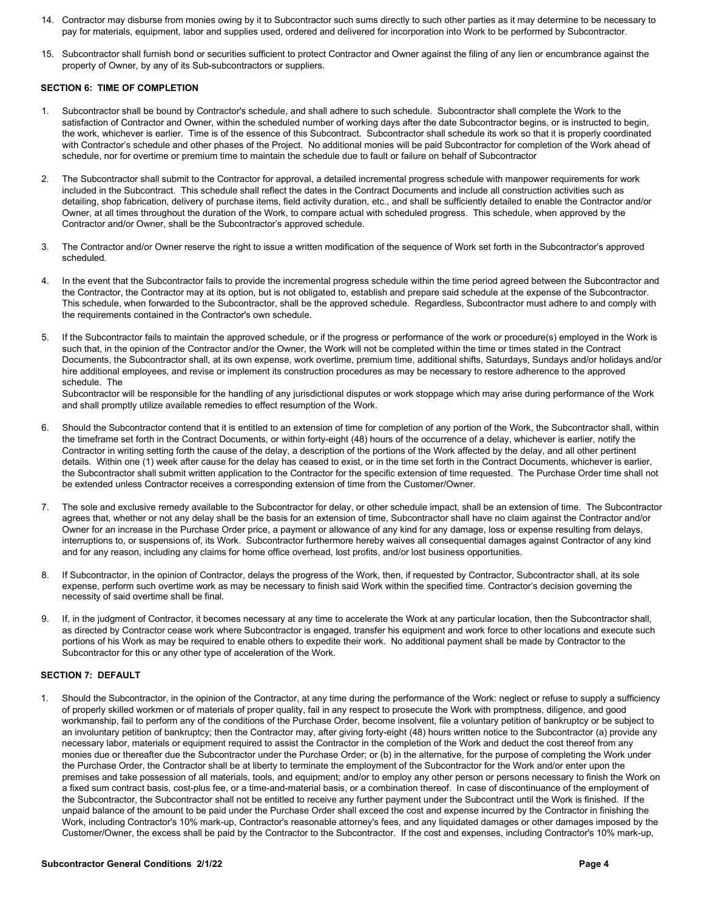- 14. Contractor may disburse from monies owing by it to Subcontractor such sums directly to such other parties as it may determine to be necessary to pay for materials, equipment, labor and supplies used, ordered and delivered for incorporation into Work to be performed by Subcontractor.
- 15. Subcontractor shall furnish bond or securities sufficient to protect Contractor and Owner against the filing of any lien or encumbrance against the property of Owner, by any of its Sub-subcontractors or suppliers.

## **SECTION 6: TIME OF COMPLETION**

- 1. Subcontractor shall be bound by Contractor's schedule, and shall adhere to such schedule. Subcontractor shall complete the Work to the satisfaction of Contractor and Owner, within the scheduled number of working days after the date Subcontractor begins, or is instructed to begin, the work, whichever is earlier. Time is of the essence of this Subcontract. Subcontractor shall schedule its work so that it is properly coordinated with Contractor's schedule and other phases of the Project. No additional monies will be paid Subcontractor for completion of the Work ahead of schedule, nor for overtime or premium time to maintain the schedule due to fault or failure on behalf of Subcontractor
- 2. The Subcontractor shall submit to the Contractor for approval, a detailed incremental progress schedule with manpower requirements for work included in the Subcontract. This schedule shall reflect the dates in the Contract Documents and include all construction activities such as detailing, shop fabrication, delivery of purchase items, field activity duration, etc., and shall be sufficiently detailed to enable the Contractor and/or Owner, at all times throughout the duration of the Work, to compare actual with scheduled progress. This schedule, when approved by the Contractor and/or Owner, shall be the Subcontractor's approved schedule.
- 3. The Contractor and/or Owner reserve the right to issue a written modification of the sequence of Work set forth in the Subcontractor's approved scheduled.
- 4. In the event that the Subcontractor fails to provide the incremental progress schedule within the time period agreed between the Subcontractor and the Contractor, the Contractor may at its option, but is not obligated to, establish and prepare said schedule at the expense of the Subcontractor. This schedule, when forwarded to the Subcontractor, shall be the approved schedule. Regardless, Subcontractor must adhere to and comply with the requirements contained in the Contractor's own schedule.
- If the Subcontractor fails to maintain the approved schedule, or if the progress or performance of the work or procedure(s) employed in the Work is such that, in the opinion of the Contractor and/or the Owner, the Work will not be completed within the time or times stated in the Contract Documents, the Subcontractor shall, at its own expense, work overtime, premium time, additional shifts, Saturdays, Sundays and/or holidays and/or hire additional employees, and revise or implement its construction procedures as may be necessary to restore adherence to the approved schedule. The

Subcontractor will be responsible for the handling of any jurisdictional disputes or work stoppage which may arise during performance of the Work and shall promptly utilize available remedies to effect resumption of the Work.

- 6. Should the Subcontractor contend that it is entitled to an extension of time for completion of any portion of the Work, the Subcontractor shall, within the timeframe set forth in the Contract Documents, or within forty-eight (48) hours of the occurrence of a delay, whichever is earlier, notify the Contractor in writing setting forth the cause of the delay, a description of the portions of the Work affected by the delay, and all other pertinent details. Within one (1) week after cause for the delay has ceased to exist, or in the time set forth in the Contract Documents, whichever is earlier, the Subcontractor shall submit written application to the Contractor for the specific extension of time requested. The Purchase Order time shall not be extended unless Contractor receives a corresponding extension of time from the Customer/Owner.
- 7. The sole and exclusive remedy available to the Subcontractor for delay, or other schedule impact, shall be an extension of time. The Subcontractor agrees that, whether or not any delay shall be the basis for an extension of time, Subcontractor shall have no claim against the Contractor and/or Owner for an increase in the Purchase Order price, a payment or allowance of any kind for any damage, loss or expense resulting from delays, interruptions to, or suspensions of, its Work. Subcontractor furthermore hereby waives all consequential damages against Contractor of any kind and for any reason, including any claims for home office overhead, lost profits, and/or lost business opportunities.
- 8. If Subcontractor, in the opinion of Contractor, delays the progress of the Work, then, if requested by Contractor, Subcontractor shall, at its sole expense, perform such overtime work as may be necessary to finish said Work within the specified time. Contractor's decision governing the necessity of said overtime shall be final.
- 9. If, in the judgment of Contractor, it becomes necessary at any time to accelerate the Work at any particular location, then the Subcontractor shall, as directed by Contractor cease work where Subcontractor is engaged, transfer his equipment and work force to other locations and execute such portions of his Work as may be required to enable others to expedite their work. No additional payment shall be made by Contractor to the Subcontractor for this or any other type of acceleration of the Work.

#### **SECTION 7: DEFAULT**

1. Should the Subcontractor, in the opinion of the Contractor, at any time during the performance of the Work: neglect or refuse to supply a sufficiency of properly skilled workmen or of materials of proper quality, fail in any respect to prosecute the Work with promptness, diligence, and good workmanship, fail to perform any of the conditions of the Purchase Order, become insolvent, file a voluntary petition of bankruptcy or be subject to an involuntary petition of bankruptcy; then the Contractor may, after giving forty-eight (48) hours written notice to the Subcontractor (a) provide any necessary labor, materials or equipment required to assist the Contractor in the completion of the Work and deduct the cost thereof from any monies due or thereafter due the Subcontractor under the Purchase Order; or (b) in the alternative, for the purpose of completing the Work under the Purchase Order, the Contractor shall be at liberty to terminate the employment of the Subcontractor for the Work and/or enter upon the premises and take possession of all materials, tools, and equipment; and/or to employ any other person or persons necessary to finish the Work on a fixed sum contract basis, cost-plus fee, or a time-and-material basis, or a combination thereof. In case of discontinuance of the employment of the Subcontractor, the Subcontractor shall not be entitled to receive any further payment under the Subcontract until the Work is finished. If the unpaid balance of the amount to be paid under the Purchase Order shall exceed the cost and expense incurred by the Contractor in finishing the Work, including Contractor's 10% mark-up, Contractor's reasonable attorney's fees, and any liquidated damages or other damages imposed by the Customer/Owner, the excess shall be paid by the Contractor to the Subcontractor. If the cost and expenses, including Contractor's 10% mark-up,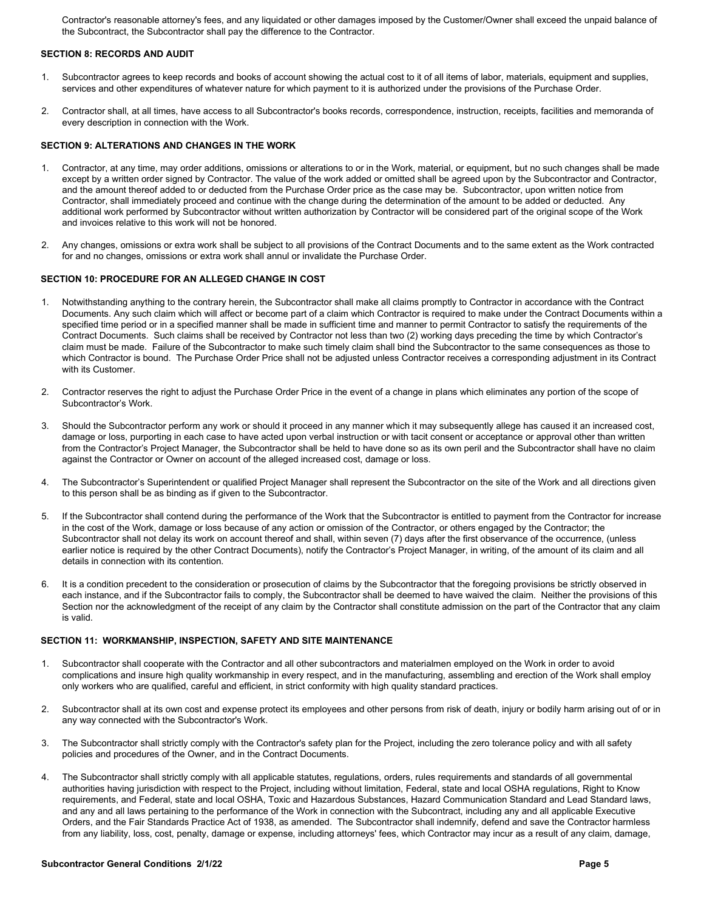Contractor's reasonable attorney's fees, and any liquidated or other damages imposed by the Customer/Owner shall exceed the unpaid balance of the Subcontract, the Subcontractor shall pay the difference to the Contractor.

## **SECTION 8: RECORDS AND AUDIT**

- 1. Subcontractor agrees to keep records and books of account showing the actual cost to it of all items of labor, materials, equipment and supplies, services and other expenditures of whatever nature for which payment to it is authorized under the provisions of the Purchase Order.
- 2. Contractor shall, at all times, have access to all Subcontractor's books records, correspondence, instruction, receipts, facilities and memoranda of every description in connection with the Work.

## **SECTION 9: ALTERATIONS AND CHANGES IN THE WORK**

- 1. Contractor, at any time, may order additions, omissions or alterations to or in the Work, material, or equipment, but no such changes shall be made except by a written order signed by Contractor. The value of the work added or omitted shall be agreed upon by the Subcontractor and Contractor, and the amount thereof added to or deducted from the Purchase Order price as the case may be. Subcontractor, upon written notice from Contractor, shall immediately proceed and continue with the change during the determination of the amount to be added or deducted. Any additional work performed by Subcontractor without written authorization by Contractor will be considered part of the original scope of the Work and invoices relative to this work will not be honored.
- 2. Any changes, omissions or extra work shall be subject to all provisions of the Contract Documents and to the same extent as the Work contracted for and no changes, omissions or extra work shall annul or invalidate the Purchase Order.

## **SECTION 10: PROCEDURE FOR AN ALLEGED CHANGE IN COST**

- 1. Notwithstanding anything to the contrary herein, the Subcontractor shall make all claims promptly to Contractor in accordance with the Contract Documents. Any such claim which will affect or become part of a claim which Contractor is required to make under the Contract Documents within a specified time period or in a specified manner shall be made in sufficient time and manner to permit Contractor to satisfy the requirements of the Contract Documents. Such claims shall be received by Contractor not less than two (2) working days preceding the time by which Contractor's claim must be made. Failure of the Subcontractor to make such timely claim shall bind the Subcontractor to the same consequences as those to which Contractor is bound. The Purchase Order Price shall not be adjusted unless Contractor receives a corresponding adjustment in its Contract with its Customer.
- 2. Contractor reserves the right to adjust the Purchase Order Price in the event of a change in plans which eliminates any portion of the scope of Subcontractor's Work.
- 3. Should the Subcontractor perform any work or should it proceed in any manner which it may subsequently allege has caused it an increased cost, damage or loss, purporting in each case to have acted upon verbal instruction or with tacit consent or acceptance or approval other than written from the Contractor's Project Manager, the Subcontractor shall be held to have done so as its own peril and the Subcontractor shall have no claim against the Contractor or Owner on account of the alleged increased cost, damage or loss.
- 4. The Subcontractor's Superintendent or qualified Project Manager shall represent the Subcontractor on the site of the Work and all directions given to this person shall be as binding as if given to the Subcontractor.
- 5. If the Subcontractor shall contend during the performance of the Work that the Subcontractor is entitled to payment from the Contractor for increase in the cost of the Work, damage or loss because of any action or omission of the Contractor, or others engaged by the Contractor; the Subcontractor shall not delay its work on account thereof and shall, within seven (7) days after the first observance of the occurrence, (unless earlier notice is required by the other Contract Documents), notify the Contractor's Project Manager, in writing, of the amount of its claim and all details in connection with its contention.
- 6. It is a condition precedent to the consideration or prosecution of claims by the Subcontractor that the foregoing provisions be strictly observed in each instance, and if the Subcontractor fails to comply, the Subcontractor shall be deemed to have waived the claim. Neither the provisions of this Section nor the acknowledgment of the receipt of any claim by the Contractor shall constitute admission on the part of the Contractor that any claim is valid.

## **SECTION 11: WORKMANSHIP, INSPECTION, SAFETY AND SITE MAINTENANCE**

- Subcontractor shall cooperate with the Contractor and all other subcontractors and materialmen employed on the Work in order to avoid complications and insure high quality workmanship in every respect, and in the manufacturing, assembling and erection of the Work shall employ only workers who are qualified, careful and efficient, in strict conformity with high quality standard practices.
- Subcontractor shall at its own cost and expense protect its employees and other persons from risk of death, injury or bodily harm arising out of or in any way connected with the Subcontractor's Work.
- 3. The Subcontractor shall strictly comply with the Contractor's safety plan for the Project, including the zero tolerance policy and with all safety policies and procedures of the Owner, and in the Contract Documents.
- 4. The Subcontractor shall strictly comply with all applicable statutes, regulations, orders, rules requirements and standards of all governmental authorities having jurisdiction with respect to the Project, including without limitation, Federal, state and local OSHA regulations, Right to Know requirements, and Federal, state and local OSHA, Toxic and Hazardous Substances, Hazard Communication Standard and Lead Standard laws, and any and all laws pertaining to the performance of the Work in connection with the Subcontract, including any and all applicable Executive Orders, and the Fair Standards Practice Act of 1938, as amended. The Subcontractor shall indemnify, defend and save the Contractor harmless from any liability, loss, cost, penalty, damage or expense, including attorneys' fees, which Contractor may incur as a result of any claim, damage,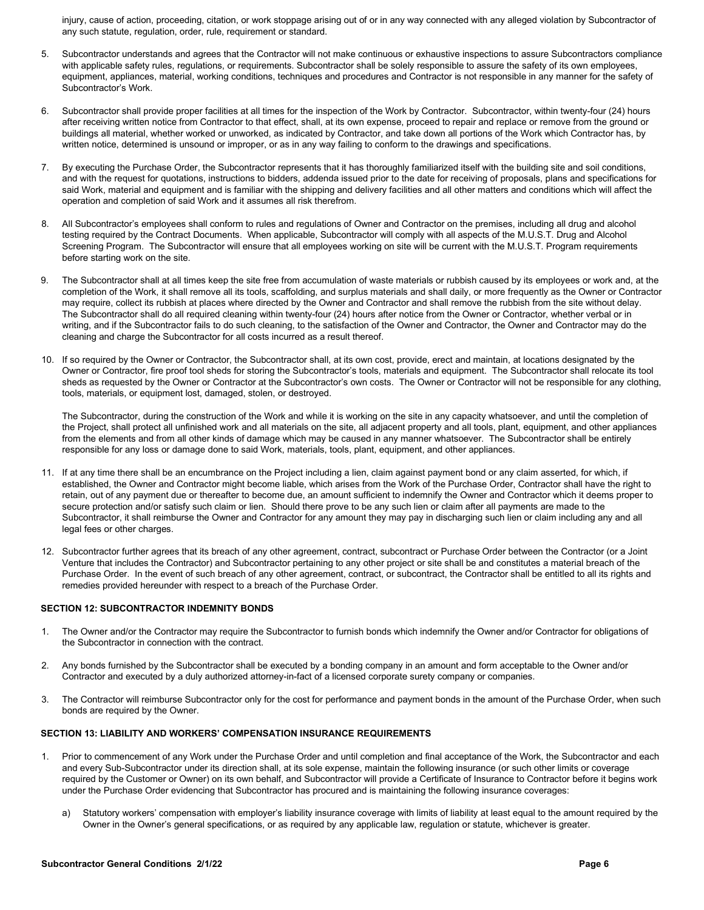injury, cause of action, proceeding, citation, or work stoppage arising out of or in any way connected with any alleged violation by Subcontractor of any such statute, regulation, order, rule, requirement or standard.

- 5. Subcontractor understands and agrees that the Contractor will not make continuous or exhaustive inspections to assure Subcontractors compliance with applicable safety rules, regulations, or requirements. Subcontractor shall be solely responsible to assure the safety of its own employees, equipment, appliances, material, working conditions, techniques and procedures and Contractor is not responsible in any manner for the safety of Subcontractor's Work.
- 6. Subcontractor shall provide proper facilities at all times for the inspection of the Work by Contractor. Subcontractor, within twenty-four (24) hours after receiving written notice from Contractor to that effect, shall, at its own expense, proceed to repair and replace or remove from the ground or buildings all material, whether worked or unworked, as indicated by Contractor, and take down all portions of the Work which Contractor has, by written notice, determined is unsound or improper, or as in any way failing to conform to the drawings and specifications.
- 7. By executing the Purchase Order, the Subcontractor represents that it has thoroughly familiarized itself with the building site and soil conditions, and with the request for quotations, instructions to bidders, addenda issued prior to the date for receiving of proposals, plans and specifications for said Work, material and equipment and is familiar with the shipping and delivery facilities and all other matters and conditions which will affect the operation and completion of said Work and it assumes all risk therefrom.
- 8. All Subcontractor's employees shall conform to rules and regulations of Owner and Contractor on the premises, including all drug and alcohol testing required by the Contract Documents. When applicable, Subcontractor will comply with all aspects of the M.U.S.T. Drug and Alcohol Screening Program. The Subcontractor will ensure that all employees working on site will be current with the M.U.S.T. Program requirements before starting work on the site.
- 9. The Subcontractor shall at all times keep the site free from accumulation of waste materials or rubbish caused by its employees or work and, at the completion of the Work, it shall remove all its tools, scaffolding, and surplus materials and shall daily, or more frequently as the Owner or Contractor may require, collect its rubbish at places where directed by the Owner and Contractor and shall remove the rubbish from the site without delay. The Subcontractor shall do all required cleaning within twenty-four (24) hours after notice from the Owner or Contractor, whether verbal or in writing, and if the Subcontractor fails to do such cleaning, to the satisfaction of the Owner and Contractor, the Owner and Contractor may do the cleaning and charge the Subcontractor for all costs incurred as a result thereof.
- 10. If so required by the Owner or Contractor, the Subcontractor shall, at its own cost, provide, erect and maintain, at locations designated by the Owner or Contractor, fire proof tool sheds for storing the Subcontractor's tools, materials and equipment. The Subcontractor shall relocate its tool sheds as requested by the Owner or Contractor at the Subcontractor's own costs. The Owner or Contractor will not be responsible for any clothing, tools, materials, or equipment lost, damaged, stolen, or destroyed.

The Subcontractor, during the construction of the Work and while it is working on the site in any capacity whatsoever, and until the completion of the Project, shall protect all unfinished work and all materials on the site, all adjacent property and all tools, plant, equipment, and other appliances from the elements and from all other kinds of damage which may be caused in any manner whatsoever. The Subcontractor shall be entirely responsible for any loss or damage done to said Work, materials, tools, plant, equipment, and other appliances.

- 11. If at any time there shall be an encumbrance on the Project including a lien, claim against payment bond or any claim asserted, for which, if established, the Owner and Contractor might become liable, which arises from the Work of the Purchase Order, Contractor shall have the right to retain, out of any payment due or thereafter to become due, an amount sufficient to indemnify the Owner and Contractor which it deems proper to secure protection and/or satisfy such claim or lien. Should there prove to be any such lien or claim after all payments are made to the Subcontractor, it shall reimburse the Owner and Contractor for any amount they may pay in discharging such lien or claim including any and all legal fees or other charges.
- 12. Subcontractor further agrees that its breach of any other agreement, contract, subcontract or Purchase Order between the Contractor (or a Joint Venture that includes the Contractor) and Subcontractor pertaining to any other project or site shall be and constitutes a material breach of the Purchase Order. In the event of such breach of any other agreement, contract, or subcontract, the Contractor shall be entitled to all its rights and remedies provided hereunder with respect to a breach of the Purchase Order.

## **SECTION 12: SUBCONTRACTOR INDEMNITY BONDS**

- 1. The Owner and/or the Contractor may require the Subcontractor to furnish bonds which indemnify the Owner and/or Contractor for obligations of the Subcontractor in connection with the contract.
- 2. Any bonds furnished by the Subcontractor shall be executed by a bonding company in an amount and form acceptable to the Owner and/or Contractor and executed by a duly authorized attorney-in-fact of a licensed corporate surety company or companies.
- 3. The Contractor will reimburse Subcontractor only for the cost for performance and payment bonds in the amount of the Purchase Order, when such bonds are required by the Owner.

### **SECTION 13: LIABILITY AND WORKERS' COMPENSATION INSURANCE REQUIREMENTS**

- Prior to commencement of any Work under the Purchase Order and until completion and final acceptance of the Work, the Subcontractor and each and every Sub-Subcontractor under its direction shall, at its sole expense, maintain the following insurance (or such other limits or coverage required by the Customer or Owner) on its own behalf, and Subcontractor will provide a Certificate of Insurance to Contractor before it begins work under the Purchase Order evidencing that Subcontractor has procured and is maintaining the following insurance coverages:
	- a) Statutory workers' compensation with employer's liability insurance coverage with limits of liability at least equal to the amount required by the Owner in the Owner's general specifications, or as required by any applicable law, regulation or statute, whichever is greater.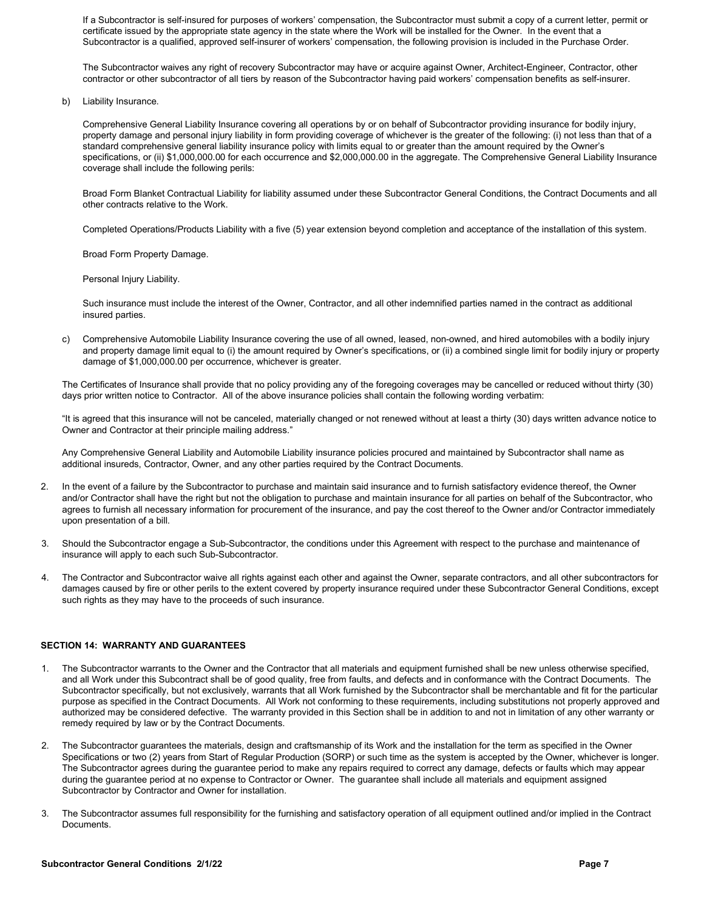• If a Subcontractor is self-insured for purposes of workers' compensation, the Subcontractor must submit a copy of a current letter, permit or certificate issued by the appropriate state agency in the state where the Work will be installed for the Owner. In the event that a Subcontractor is a qualified, approved self-insurer of workers' compensation, the following provision is included in the Purchase Order.

• The Subcontractor waives any right of recovery Subcontractor may have or acquire against Owner, Architect-Engineer, Contractor, other contractor or other subcontractor of all tiers by reason of the Subcontractor having paid workers' compensation benefits as self-insurer.

b) Liability Insurance.

• Comprehensive General Liability Insurance covering all operations by or on behalf of Subcontractor providing insurance for bodily injury, property damage and personal injury liability in form providing coverage of whichever is the greater of the following: (i) not less than that of a standard comprehensive general liability insurance policy with limits equal to or greater than the amount required by the Owner's specifications, or (ii) \$1,000,000.00 for each occurrence and \$2,000,000.00 in the aggregate. The Comprehensive General Liability Insurance coverage shall include the following perils:

• Broad Form Blanket Contractual Liability for liability assumed under these Subcontractor General Conditions, the Contract Documents and all other contracts relative to the Work.

• Completed Operations/Products Liability with a five (5) year extension beyond completion and acceptance of the installation of this system.

• Broad Form Property Damage.

Personal Injury Liability.

• Such insurance must include the interest of the Owner, Contractor, and all other indemnified parties named in the contract as additional insured parties.

c) Comprehensive Automobile Liability Insurance covering the use of all owned, leased, non-owned, and hired automobiles with a bodily injury and property damage limit equal to (i) the amount required by Owner's specifications, or (ii) a combined single limit for bodily injury or property damage of \$1,000,000.00 per occurrence, whichever is greater.

The Certificates of Insurance shall provide that no policy providing any of the foregoing coverages may be cancelled or reduced without thirty (30) days prior written notice to Contractor. All of the above insurance policies shall contain the following wording verbatim:

"It is agreed that this insurance will not be canceled, materially changed or not renewed without at least a thirty (30) days written advance notice to Owner and Contractor at their principle mailing address."

Any Comprehensive General Liability and Automobile Liability insurance policies procured and maintained by Subcontractor shall name as additional insureds, Contractor, Owner, and any other parties required by the Contract Documents.

- 2. In the event of a failure by the Subcontractor to purchase and maintain said insurance and to furnish satisfactory evidence thereof, the Owner and/or Contractor shall have the right but not the obligation to purchase and maintain insurance for all parties on behalf of the Subcontractor, who agrees to furnish all necessary information for procurement of the insurance, and pay the cost thereof to the Owner and/or Contractor immediately upon presentation of a bill.
- 3. Should the Subcontractor engage a Sub-Subcontractor, the conditions under this Agreement with respect to the purchase and maintenance of insurance will apply to each such Sub-Subcontractor.
- 4. The Contractor and Subcontractor waive all rights against each other and against the Owner, separate contractors, and all other subcontractors for damages caused by fire or other perils to the extent covered by property insurance required under these Subcontractor General Conditions, except such rights as they may have to the proceeds of such insurance.

## **SECTION 14: WARRANTY AND GUARANTEES**

- 1. The Subcontractor warrants to the Owner and the Contractor that all materials and equipment furnished shall be new unless otherwise specified, and all Work under this Subcontract shall be of good quality, free from faults, and defects and in conformance with the Contract Documents. The Subcontractor specifically, but not exclusively, warrants that all Work furnished by the Subcontractor shall be merchantable and fit for the particular purpose as specified in the Contract Documents. All Work not conforming to these requirements, including substitutions not properly approved and authorized may be considered defective. The warranty provided in this Section shall be in addition to and not in limitation of any other warranty or remedy required by law or by the Contract Documents.
- 2. The Subcontractor guarantees the materials, design and craftsmanship of its Work and the installation for the term as specified in the Owner Specifications or two (2) years from Start of Regular Production (SORP) or such time as the system is accepted by the Owner, whichever is longer. The Subcontractor agrees during the guarantee period to make any repairs required to correct any damage, defects or faults which may appear during the guarantee period at no expense to Contractor or Owner. The guarantee shall include all materials and equipment assigned Subcontractor by Contractor and Owner for installation.
- 3. The Subcontractor assumes full responsibility for the furnishing and satisfactory operation of all equipment outlined and/or implied in the Contract Documents.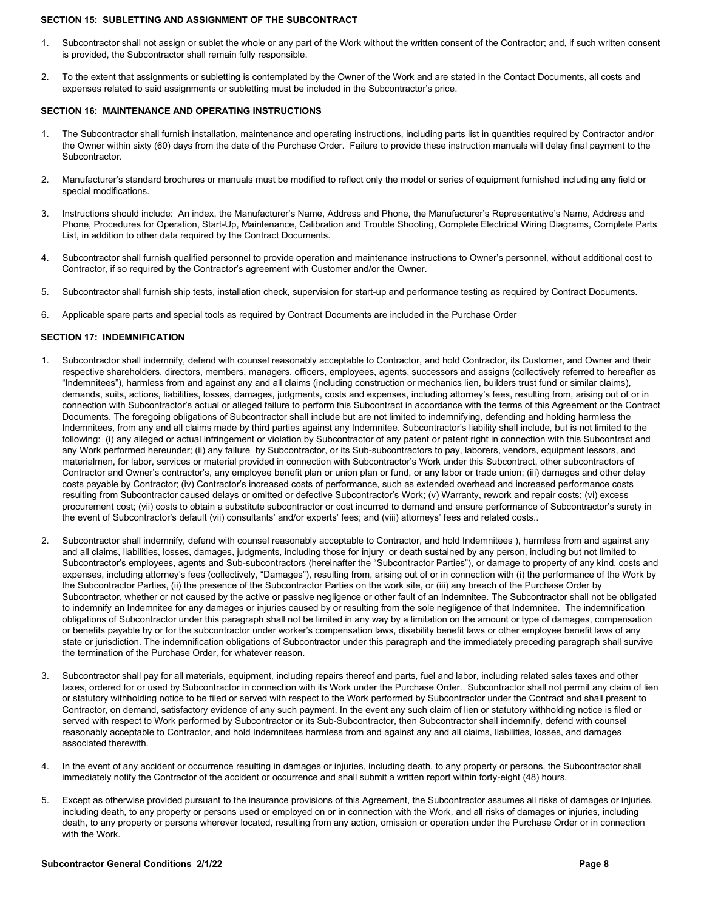#### **SECTION 15: SUBLETTING AND ASSIGNMENT OF THE SUBCONTRACT**

- 1. Subcontractor shall not assign or sublet the whole or any part of the Work without the written consent of the Contractor; and, if such written consent is provided, the Subcontractor shall remain fully responsible.
- 2. To the extent that assignments or subletting is contemplated by the Owner of the Work and are stated in the Contact Documents, all costs and expenses related to said assignments or subletting must be included in the Subcontractor's price.

## **SECTION 16: MAINTENANCE AND OPERATING INSTRUCTIONS**

- 1. The Subcontractor shall furnish installation, maintenance and operating instructions, including parts list in quantities required by Contractor and/or the Owner within sixty (60) days from the date of the Purchase Order. Failure to provide these instruction manuals will delay final payment to the Subcontractor.
- 2. Manufacturer's standard brochures or manuals must be modified to reflect only the model or series of equipment furnished including any field or special modifications.
- 3. Instructions should include: An index, the Manufacturer's Name, Address and Phone, the Manufacturer's Representative's Name, Address and Phone, Procedures for Operation, Start-Up, Maintenance, Calibration and Trouble Shooting, Complete Electrical Wiring Diagrams, Complete Parts List, in addition to other data required by the Contract Documents.
- 4. Subcontractor shall furnish qualified personnel to provide operation and maintenance instructions to Owner's personnel, without additional cost to Contractor, if so required by the Contractor's agreement with Customer and/or the Owner.
- 5. Subcontractor shall furnish ship tests, installation check, supervision for start-up and performance testing as required by Contract Documents.
- 6. Applicable spare parts and special tools as required by Contract Documents are included in the Purchase Order

## **SECTION 17: INDEMNIFICATION**

- Subcontractor shall indemnify, defend with counsel reasonably acceptable to Contractor, and hold Contractor, its Customer, and Owner and their respective shareholders, directors, members, managers, officers, employees, agents, successors and assigns (collectively referred to hereafter as "Indemnitees"), harmless from and against any and all claims (including construction or mechanics lien, builders trust fund or similar claims), demands, suits, actions, liabilities, losses, damages, judgments, costs and expenses, including attorney's fees, resulting from, arising out of or in connection with Subcontractor's actual or alleged failure to perform this Subcontract in accordance with the terms of this Agreement or the Contract Documents. The foregoing obligations of Subcontractor shall include but are not limited to indemnifying, defending and holding harmless the Indemnitees, from any and all claims made by third parties against any Indemnitee. Subcontractor's liability shall include, but is not limited to the following: (i) any alleged or actual infringement or violation by Subcontractor of any patent or patent right in connection with this Subcontract and any Work performed hereunder; (ii) any failure by Subcontractor, or its Sub-subcontractors to pay, laborers, vendors, equipment lessors, and materialmen, for labor, services or material provided in connection with Subcontractor's Work under this Subcontract, other subcontractors of Contractor and Owner's contractor's, any employee benefit plan or union plan or fund, or any labor or trade union; (iii) damages and other delay costs payable by Contractor; (iv) Contractor's increased costs of performance, such as extended overhead and increased performance costs resulting from Subcontractor caused delays or omitted or defective Subcontractor's Work; (v) Warranty, rework and repair costs; (vi) excess procurement cost; (vii) costs to obtain a substitute subcontractor or cost incurred to demand and ensure performance of Subcontractor's surety in the event of Subcontractor's default (vii) consultants' and/or experts' fees; and (viii) attorneys' fees and related costs..
- 2. Subcontractor shall indemnify, defend with counsel reasonably acceptable to Contractor, and hold Indemnitees ), harmless from and against any and all claims, liabilities, losses, damages, judgments, including those for injury or death sustained by any person, including but not limited to Subcontractor's employees, agents and Sub-subcontractors (hereinafter the "Subcontractor Parties"), or damage to property of any kind, costs and expenses, including attorney's fees (collectively, "Damages"), resulting from, arising out of or in connection with (i) the performance of the Work by the Subcontractor Parties, (ii) the presence of the Subcontractor Parties on the work site, or (iii) any breach of the Purchase Order by Subcontractor, whether or not caused by the active or passive negligence or other fault of an Indemnitee. The Subcontractor shall not be obligated to indemnify an Indemnitee for any damages or injuries caused by or resulting from the sole negligence of that Indemnitee. The indemnification obligations of Subcontractor under this paragraph shall not be limited in any way by a limitation on the amount or type of damages, compensation or benefits payable by or for the subcontractor under worker's compensation laws, disability benefit laws or other employee benefit laws of any state or jurisdiction. The indemnification obligations of Subcontractor under this paragraph and the immediately preceding paragraph shall survive the termination of the Purchase Order, for whatever reason.
- 3. Subcontractor shall pay for all materials, equipment, including repairs thereof and parts, fuel and labor, including related sales taxes and other taxes, ordered for or used by Subcontractor in connection with its Work under the Purchase Order. Subcontractor shall not permit any claim of lien or statutory withholding notice to be filed or served with respect to the Work performed by Subcontractor under the Contract and shall present to Contractor, on demand, satisfactory evidence of any such payment. In the event any such claim of lien or statutory withholding notice is filed or served with respect to Work performed by Subcontractor or its Sub-Subcontractor, then Subcontractor shall indemnify, defend with counsel reasonably acceptable to Contractor, and hold Indemnitees harmless from and against any and all claims, liabilities, losses, and damages associated therewith.
- 4. In the event of any accident or occurrence resulting in damages or injuries, including death, to any property or persons, the Subcontractor shall immediately notify the Contractor of the accident or occurrence and shall submit a written report within forty-eight (48) hours.
- 5. Except as otherwise provided pursuant to the insurance provisions of this Agreement, the Subcontractor assumes all risks of damages or injuries, including death, to any property or persons used or employed on or in connection with the Work, and all risks of damages or injuries, including death, to any property or persons wherever located, resulting from any action, omission or operation under the Purchase Order or in connection with the Work.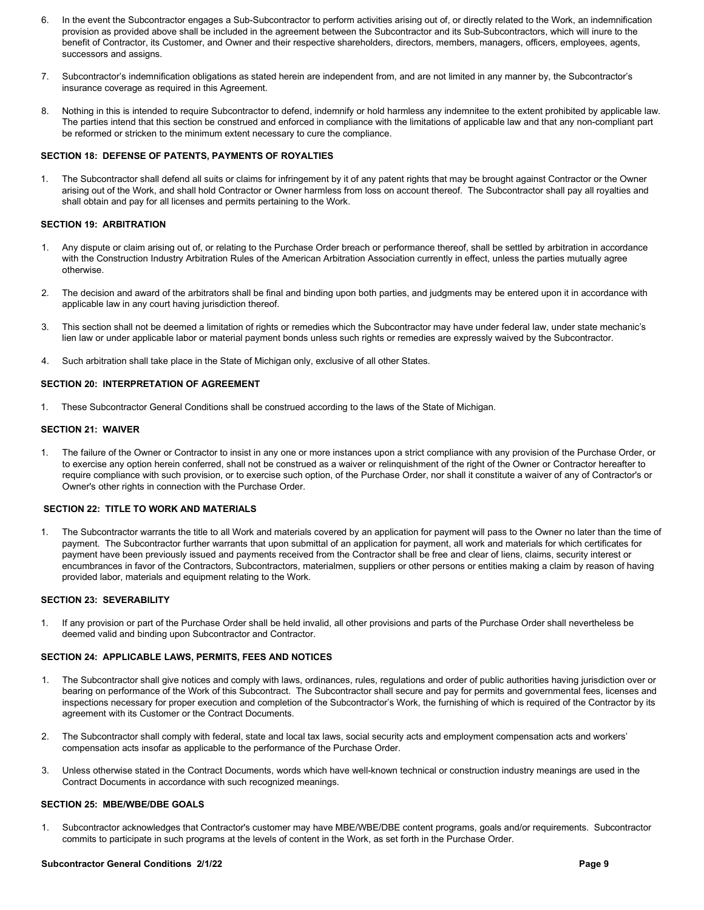- 6. In the event the Subcontractor engages a Sub-Subcontractor to perform activities arising out of, or directly related to the Work, an indemnification provision as provided above shall be included in the agreement between the Subcontractor and its Sub-Subcontractors, which will inure to the benefit of Contractor, its Customer, and Owner and their respective shareholders, directors, members, managers, officers, employees, agents, successors and assigns.
- 7. Subcontractor's indemnification obligations as stated herein are independent from, and are not limited in any manner by, the Subcontractor's insurance coverage as required in this Agreement.
- 8. Nothing in this is intended to require Subcontractor to defend, indemnify or hold harmless any indemnitee to the extent prohibited by applicable law. The parties intend that this section be construed and enforced in compliance with the limitations of applicable law and that any non-compliant part be reformed or stricken to the minimum extent necessary to cure the compliance.

## **SECTION 18: DEFENSE OF PATENTS, PAYMENTS OF ROYALTIES**

1. The Subcontractor shall defend all suits or claims for infringement by it of any patent rights that may be brought against Contractor or the Owner arising out of the Work, and shall hold Contractor or Owner harmless from loss on account thereof. The Subcontractor shall pay all royalties and shall obtain and pay for all licenses and permits pertaining to the Work.

## **SECTION 19: ARBITRATION**

- Any dispute or claim arising out of, or relating to the Purchase Order breach or performance thereof, shall be settled by arbitration in accordance with the Construction Industry Arbitration Rules of the American Arbitration Association currently in effect, unless the parties mutually agree otherwise.
- 2. The decision and award of the arbitrators shall be final and binding upon both parties, and judgments may be entered upon it in accordance with applicable law in any court having jurisdiction thereof.
- 3. This section shall not be deemed a limitation of rights or remedies which the Subcontractor may have under federal law, under state mechanic's lien law or under applicable labor or material payment bonds unless such rights or remedies are expressly waived by the Subcontractor.
- 4. Such arbitration shall take place in the State of Michigan only, exclusive of all other States.

#### **SECTION 20: INTERPRETATION OF AGREEMENT**

1. These Subcontractor General Conditions shall be construed according to the laws of the State of Michigan.

#### **SECTION 21: WAIVER**

1. The failure of the Owner or Contractor to insist in any one or more instances upon a strict compliance with any provision of the Purchase Order, or to exercise any option herein conferred, shall not be construed as a waiver or relinquishment of the right of the Owner or Contractor hereafter to require compliance with such provision, or to exercise such option, of the Purchase Order, nor shall it constitute a waiver of any of Contractor's or Owner's other rights in connection with the Purchase Order.

#### **SECTION 22: TITLE TO WORK AND MATERIALS**

1. The Subcontractor warrants the title to all Work and materials covered by an application for payment will pass to the Owner no later than the time of payment. The Subcontractor further warrants that upon submittal of an application for payment, all work and materials for which certificates for payment have been previously issued and payments received from the Contractor shall be free and clear of liens, claims, security interest or encumbrances in favor of the Contractors, Subcontractors, materialmen, suppliers or other persons or entities making a claim by reason of having provided labor, materials and equipment relating to the Work.

#### **SECTION 23: SEVERABILITY**

1. If any provision or part of the Purchase Order shall be held invalid, all other provisions and parts of the Purchase Order shall nevertheless be deemed valid and binding upon Subcontractor and Contractor.

## **SECTION 24: APPLICABLE LAWS, PERMITS, FEES AND NOTICES**

- 1. The Subcontractor shall give notices and comply with laws, ordinances, rules, regulations and order of public authorities having jurisdiction over or bearing on performance of the Work of this Subcontract. The Subcontractor shall secure and pay for permits and governmental fees, licenses and inspections necessary for proper execution and completion of the Subcontractor's Work, the furnishing of which is required of the Contractor by its agreement with its Customer or the Contract Documents.
- 2. The Subcontractor shall comply with federal, state and local tax laws, social security acts and employment compensation acts and workers' compensation acts insofar as applicable to the performance of the Purchase Order.
- 3. Unless otherwise stated in the Contract Documents, words which have well-known technical or construction industry meanings are used in the Contract Documents in accordance with such recognized meanings.

### **SECTION 25: MBE/WBE/DBE GOALS**

1. Subcontractor acknowledges that Contractor's customer may have MBE/WBE/DBE content programs, goals and/or requirements. Subcontractor commits to participate in such programs at the levels of content in the Work, as set forth in the Purchase Order.

## **Subcontractor General Conditions 2/1/22 Page 9**